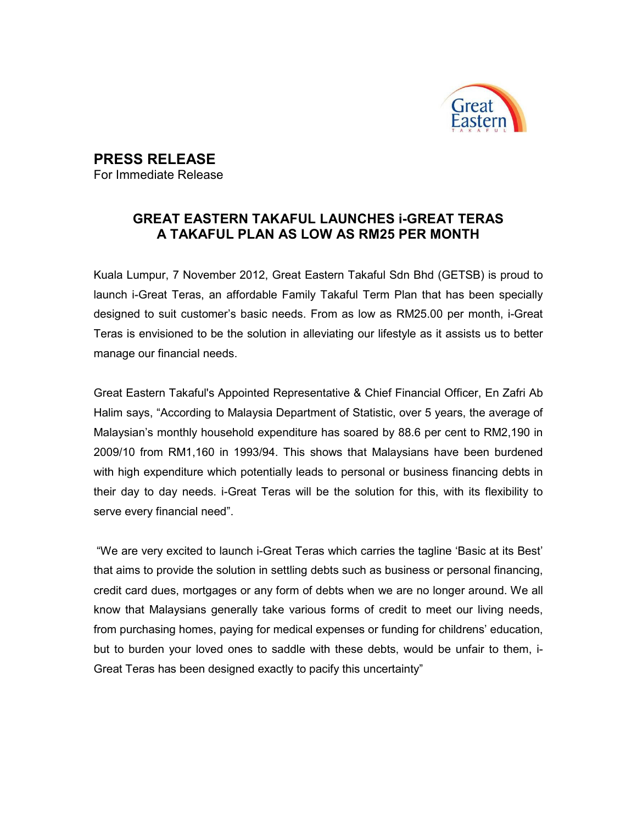

## PRESS RELEASE

For Immediate Release

## GREAT EASTERN TAKAFUL LAUNCHES i-GREAT TERAS A TAKAFUL PLAN AS LOW AS RM25 PER MONTH

Kuala Lumpur, 7 November 2012, Great Eastern Takaful Sdn Bhd (GETSB) is proud to launch i-Great Teras, an affordable Family Takaful Term Plan that has been specially designed to suit customer's basic needs. From as low as RM25.00 per month, i-Great Teras is envisioned to be the solution in alleviating our lifestyle as it assists us to better manage our financial needs.

Great Eastern Takaful's Appointed Representative & Chief Financial Officer, En Zafri Ab Halim says, "According to Malaysia Department of Statistic, over 5 years, the average of Malaysian's monthly household expenditure has soared by 88.6 per cent to RM2,190 in 2009/10 from RM1,160 in 1993/94. This shows that Malaysians have been burdened with high expenditure which potentially leads to personal or business financing debts in their day to day needs. i-Great Teras will be the solution for this, with its flexibility to serve every financial need".

 "We are very excited to launch i-Great Teras which carries the tagline 'Basic at its Best' that aims to provide the solution in settling debts such as business or personal financing, credit card dues, mortgages or any form of debts when we are no longer around. We all know that Malaysians generally take various forms of credit to meet our living needs, from purchasing homes, paying for medical expenses or funding for childrens' education, but to burden your loved ones to saddle with these debts, would be unfair to them, i-Great Teras has been designed exactly to pacify this uncertainty"